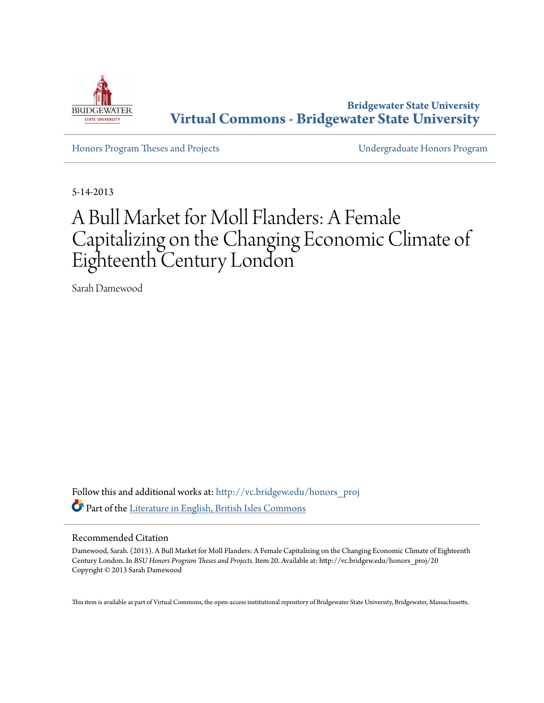

**Bridgewater State University [Virtual Commons - Bridgewater State University](http://vc.bridgew.edu?utm_source=vc.bridgew.edu%2Fhonors_proj%2F20&utm_medium=PDF&utm_campaign=PDFCoverPages)**

[Honors Program Theses and Projects](http://vc.bridgew.edu/honors_proj?utm_source=vc.bridgew.edu%2Fhonors_proj%2F20&utm_medium=PDF&utm_campaign=PDFCoverPages) [Undergraduate Honors Program](http://vc.bridgew.edu/honors?utm_source=vc.bridgew.edu%2Fhonors_proj%2F20&utm_medium=PDF&utm_campaign=PDFCoverPages)

5-14-2013

## A Bull Market for Moll Flanders: A Female Capitalizing on the Changing Economic Climate of Eighteenth Century London

Sarah Damewood

Follow this and additional works at: [http://vc.bridgew.edu/honors\\_proj](http://vc.bridgew.edu/honors_proj?utm_source=vc.bridgew.edu%2Fhonors_proj%2F20&utm_medium=PDF&utm_campaign=PDFCoverPages) Part of the [Literature in English, British Isles Commons](http://network.bepress.com/hgg/discipline/456?utm_source=vc.bridgew.edu%2Fhonors_proj%2F20&utm_medium=PDF&utm_campaign=PDFCoverPages)

## Recommended Citation

Damewood, Sarah. (2013). A Bull Market for Moll Flanders: A Female Capitalizing on the Changing Economic Climate of Eighteenth Century London. In *BSU Honors Program Theses and Projects.* Item 20. Available at: http://vc.bridgew.edu/honors\_proj/20 Copyright © 2013 Sarah Damewood

This item is available as part of Virtual Commons, the open-access institutional repository of Bridgewater State University, Bridgewater, Massachusetts.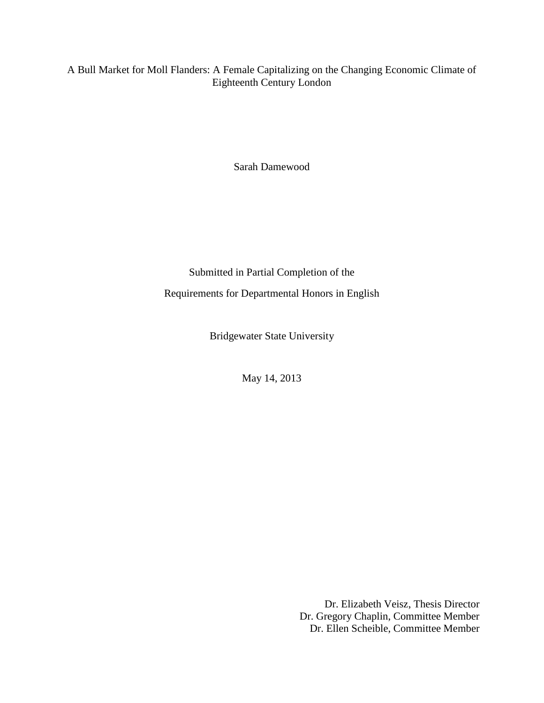A Bull Market for Moll Flanders: A Female Capitalizing on the Changing Economic Climate of Eighteenth Century London

Sarah Damewood

Submitted in Partial Completion of the Requirements for Departmental Honors in English

Bridgewater State University

May 14, 2013

Dr. Elizabeth Veisz, Thesis Director Dr. Gregory Chaplin, Committee Member Dr. Ellen Scheible, Committee Member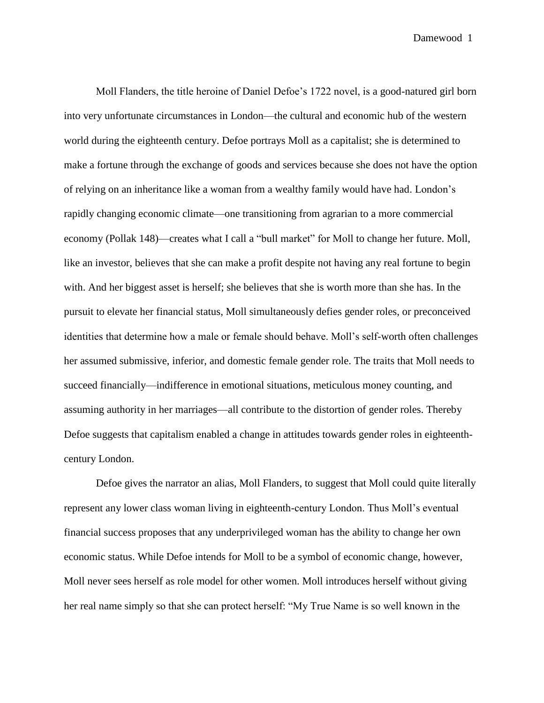Moll Flanders, the title heroine of Daniel Defoe's 1722 novel, is a good-natured girl born into very unfortunate circumstances in London—the cultural and economic hub of the western world during the eighteenth century. Defoe portrays Moll as a capitalist; she is determined to make a fortune through the exchange of goods and services because she does not have the option of relying on an inheritance like a woman from a wealthy family would have had. London's rapidly changing economic climate—one transitioning from agrarian to a more commercial economy (Pollak 148)—creates what I call a "bull market" for Moll to change her future. Moll, like an investor, believes that she can make a profit despite not having any real fortune to begin with. And her biggest asset is herself; she believes that she is worth more than she has. In the pursuit to elevate her financial status, Moll simultaneously defies gender roles, or preconceived identities that determine how a male or female should behave. Moll's self-worth often challenges her assumed submissive, inferior, and domestic female gender role. The traits that Moll needs to succeed financially—indifference in emotional situations, meticulous money counting, and assuming authority in her marriages—all contribute to the distortion of gender roles. Thereby Defoe suggests that capitalism enabled a change in attitudes towards gender roles in eighteenthcentury London.

Defoe gives the narrator an alias, Moll Flanders, to suggest that Moll could quite literally represent any lower class woman living in eighteenth-century London. Thus Moll's eventual financial success proposes that any underprivileged woman has the ability to change her own economic status. While Defoe intends for Moll to be a symbol of economic change, however, Moll never sees herself as role model for other women. Moll introduces herself without giving her real name simply so that she can protect herself: "My True Name is so well known in the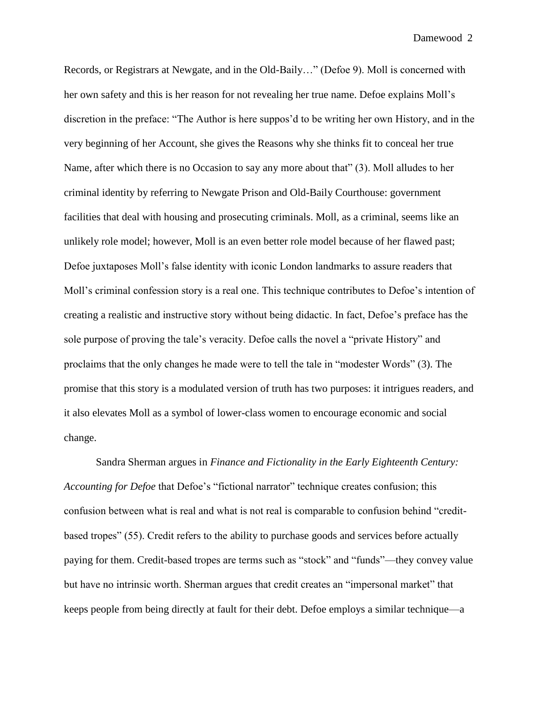Records, or Registrars at Newgate, and in the Old-Baily…" (Defoe 9). Moll is concerned with her own safety and this is her reason for not revealing her true name. Defoe explains Moll's discretion in the preface: "The Author is here suppos'd to be writing her own History, and in the very beginning of her Account, she gives the Reasons why she thinks fit to conceal her true Name, after which there is no Occasion to say any more about that" (3). Moll alludes to her criminal identity by referring to Newgate Prison and Old-Baily Courthouse: government facilities that deal with housing and prosecuting criminals. Moll, as a criminal, seems like an unlikely role model; however, Moll is an even better role model because of her flawed past; Defoe juxtaposes Moll's false identity with iconic London landmarks to assure readers that Moll's criminal confession story is a real one. This technique contributes to Defoe's intention of creating a realistic and instructive story without being didactic. In fact, Defoe's preface has the sole purpose of proving the tale's veracity. Defoe calls the novel a "private History" and proclaims that the only changes he made were to tell the tale in "modester Words" (3). The promise that this story is a modulated version of truth has two purposes: it intrigues readers, and it also elevates Moll as a symbol of lower-class women to encourage economic and social change.

Sandra Sherman argues in *Finance and Fictionality in the Early Eighteenth Century: Accounting for Defoe* that Defoe's "fictional narrator" technique creates confusion; this confusion between what is real and what is not real is comparable to confusion behind "creditbased tropes" (55). Credit refers to the ability to purchase goods and services before actually paying for them. Credit-based tropes are terms such as "stock" and "funds"—they convey value but have no intrinsic worth. Sherman argues that credit creates an "impersonal market" that keeps people from being directly at fault for their debt. Defoe employs a similar technique—a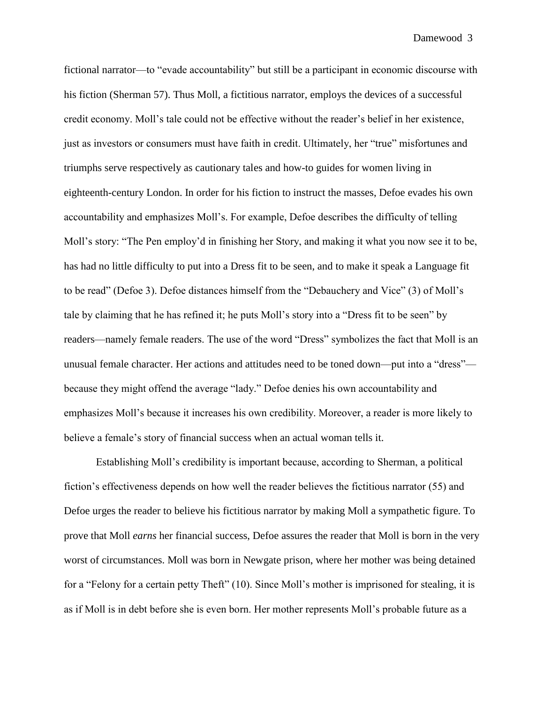fictional narrator—to "evade accountability" but still be a participant in economic discourse with his fiction (Sherman 57). Thus Moll, a fictitious narrator, employs the devices of a successful credit economy. Moll's tale could not be effective without the reader's belief in her existence, just as investors or consumers must have faith in credit. Ultimately, her "true" misfortunes and triumphs serve respectively as cautionary tales and how-to guides for women living in eighteenth-century London. In order for his fiction to instruct the masses, Defoe evades his own accountability and emphasizes Moll's. For example, Defoe describes the difficulty of telling Moll's story: "The Pen employ'd in finishing her Story, and making it what you now see it to be, has had no little difficulty to put into a Dress fit to be seen, and to make it speak a Language fit to be read" (Defoe 3). Defoe distances himself from the "Debauchery and Vice" (3) of Moll's tale by claiming that he has refined it; he puts Moll's story into a "Dress fit to be seen" by readers—namely female readers. The use of the word "Dress" symbolizes the fact that Moll is an unusual female character. Her actions and attitudes need to be toned down—put into a "dress" because they might offend the average "lady." Defoe denies his own accountability and emphasizes Moll's because it increases his own credibility. Moreover, a reader is more likely to believe a female's story of financial success when an actual woman tells it.

Establishing Moll's credibility is important because, according to Sherman, a political fiction's effectiveness depends on how well the reader believes the fictitious narrator (55) and Defoe urges the reader to believe his fictitious narrator by making Moll a sympathetic figure. To prove that Moll *earns* her financial success, Defoe assures the reader that Moll is born in the very worst of circumstances. Moll was born in Newgate prison, where her mother was being detained for a "Felony for a certain petty Theft" (10). Since Moll's mother is imprisoned for stealing, it is as if Moll is in debt before she is even born. Her mother represents Moll's probable future as a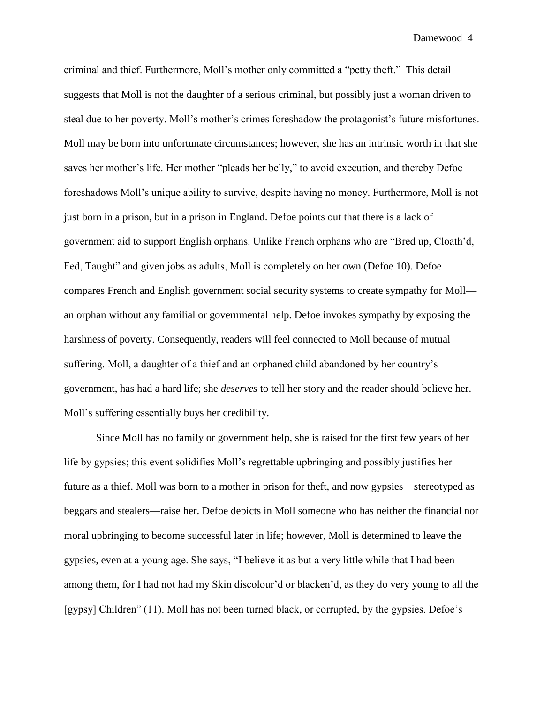criminal and thief. Furthermore, Moll's mother only committed a "petty theft." This detail suggests that Moll is not the daughter of a serious criminal, but possibly just a woman driven to steal due to her poverty. Moll's mother's crimes foreshadow the protagonist's future misfortunes. Moll may be born into unfortunate circumstances; however, she has an intrinsic worth in that she saves her mother's life. Her mother "pleads her belly," to avoid execution, and thereby Defoe foreshadows Moll's unique ability to survive, despite having no money. Furthermore, Moll is not just born in a prison, but in a prison in England. Defoe points out that there is a lack of government aid to support English orphans. Unlike French orphans who are "Bred up, Cloath'd, Fed, Taught" and given jobs as adults, Moll is completely on her own (Defoe 10). Defoe compares French and English government social security systems to create sympathy for Moll an orphan without any familial or governmental help. Defoe invokes sympathy by exposing the harshness of poverty. Consequently, readers will feel connected to Moll because of mutual suffering. Moll, a daughter of a thief and an orphaned child abandoned by her country's government, has had a hard life; she *deserves* to tell her story and the reader should believe her. Moll's suffering essentially buys her credibility.

Since Moll has no family or government help, she is raised for the first few years of her life by gypsies; this event solidifies Moll's regrettable upbringing and possibly justifies her future as a thief. Moll was born to a mother in prison for theft, and now gypsies—stereotyped as beggars and stealers—raise her. Defoe depicts in Moll someone who has neither the financial nor moral upbringing to become successful later in life; however, Moll is determined to leave the gypsies, even at a young age. She says, "I believe it as but a very little while that I had been among them, for I had not had my Skin discolour'd or blacken'd, as they do very young to all the [gypsy] Children" (11). Moll has not been turned black, or corrupted, by the gypsies. Defoe's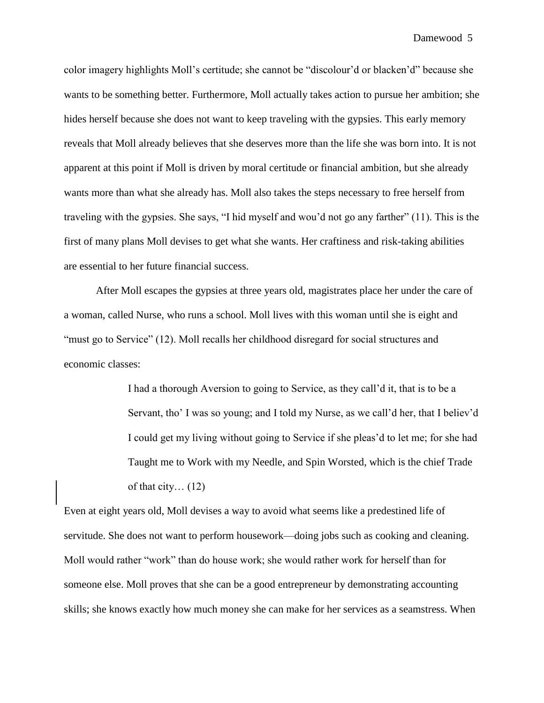color imagery highlights Moll's certitude; she cannot be "discolour'd or blacken'd" because she wants to be something better. Furthermore, Moll actually takes action to pursue her ambition; she hides herself because she does not want to keep traveling with the gypsies. This early memory reveals that Moll already believes that she deserves more than the life she was born into. It is not apparent at this point if Moll is driven by moral certitude or financial ambition, but she already wants more than what she already has. Moll also takes the steps necessary to free herself from traveling with the gypsies. She says, "I hid myself and wou'd not go any farther" (11). This is the first of many plans Moll devises to get what she wants. Her craftiness and risk-taking abilities are essential to her future financial success.

After Moll escapes the gypsies at three years old, magistrates place her under the care of a woman, called Nurse, who runs a school. Moll lives with this woman until she is eight and "must go to Service" (12). Moll recalls her childhood disregard for social structures and economic classes:

> I had a thorough Aversion to going to Service, as they call'd it, that is to be a Servant, tho' I was so young; and I told my Nurse, as we call'd her, that I believ'd I could get my living without going to Service if she pleas'd to let me; for she had Taught me to Work with my Needle, and Spin Worsted, which is the chief Trade of that city...  $(12)$

Even at eight years old, Moll devises a way to avoid what seems like a predestined life of servitude. She does not want to perform housework—doing jobs such as cooking and cleaning. Moll would rather "work" than do house work; she would rather work for herself than for someone else. Moll proves that she can be a good entrepreneur by demonstrating accounting skills; she knows exactly how much money she can make for her services as a seamstress. When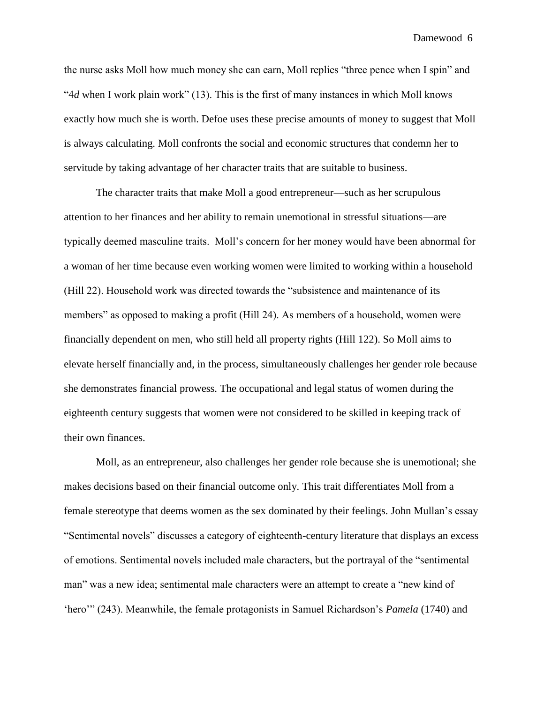the nurse asks Moll how much money she can earn, Moll replies "three pence when I spin" and "4*d* when I work plain work" (13). This is the first of many instances in which Moll knows exactly how much she is worth. Defoe uses these precise amounts of money to suggest that Moll is always calculating. Moll confronts the social and economic structures that condemn her to servitude by taking advantage of her character traits that are suitable to business.

The character traits that make Moll a good entrepreneur—such as her scrupulous attention to her finances and her ability to remain unemotional in stressful situations—are typically deemed masculine traits. Moll's concern for her money would have been abnormal for a woman of her time because even working women were limited to working within a household (Hill 22). Household work was directed towards the "subsistence and maintenance of its members" as opposed to making a profit (Hill 24). As members of a household, women were financially dependent on men, who still held all property rights (Hill 122). So Moll aims to elevate herself financially and, in the process, simultaneously challenges her gender role because she demonstrates financial prowess. The occupational and legal status of women during the eighteenth century suggests that women were not considered to be skilled in keeping track of their own finances.

Moll, as an entrepreneur, also challenges her gender role because she is unemotional; she makes decisions based on their financial outcome only. This trait differentiates Moll from a female stereotype that deems women as the sex dominated by their feelings. John Mullan's essay "Sentimental novels" discusses a category of eighteenth-century literature that displays an excess of emotions. Sentimental novels included male characters, but the portrayal of the "sentimental man" was a new idea; sentimental male characters were an attempt to create a "new kind of 'hero'" (243). Meanwhile, the female protagonists in Samuel Richardson's *Pamela* (1740) and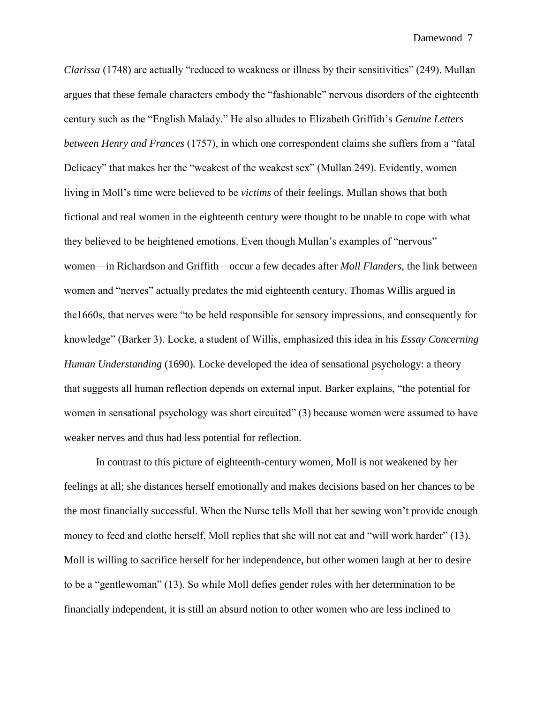*Clarissa* (1748) are actually "reduced to weakness or illness by their sensitivities" (249). Mullan argues that these female characters embody the "fashionable" nervous disorders of the eighteenth century such as the "English Malady." He also alludes to Elizabeth Griffith's *Genuine Letters between Henry and Frances* (1757), in which one correspondent claims she suffers from a "fatal Delicacy" that makes her the "weakest of the weakest sex" (Mullan 249). Evidently, women living in Moll's time were believed to be *victims* of their feelings. Mullan shows that both fictional and real women in the eighteenth century were thought to be unable to cope with what they believed to be heightened emotions. Even though Mullan's examples of "nervous" women—in Richardson and Griffith—occur a few decades after *Moll Flanders*, the link between women and "nerves" actually predates the mid eighteenth century. Thomas Willis argued in the1660s, that nerves were "to be held responsible for sensory impressions, and consequently for knowledge" (Barker 3). Locke, a student of Willis, emphasized this idea in his *Essay Concerning Human Understanding* (1690)*.* Locke developed the idea of sensational psychology: a theory that suggests all human reflection depends on external input. Barker explains, "the potential for women in sensational psychology was short circuited" (3) because women were assumed to have weaker nerves and thus had less potential for reflection.

In contrast to this picture of eighteenth-century women, Moll is not weakened by her feelings at all; she distances herself emotionally and makes decisions based on her chances to be the most financially successful. When the Nurse tells Moll that her sewing won't provide enough money to feed and clothe herself, Moll replies that she will not eat and "will work harder" (13). Moll is willing to sacrifice herself for her independence, but other women laugh at her to desire to be a "gentlewoman" (13). So while Moll defies gender roles with her determination to be financially independent, it is still an absurd notion to other women who are less inclined to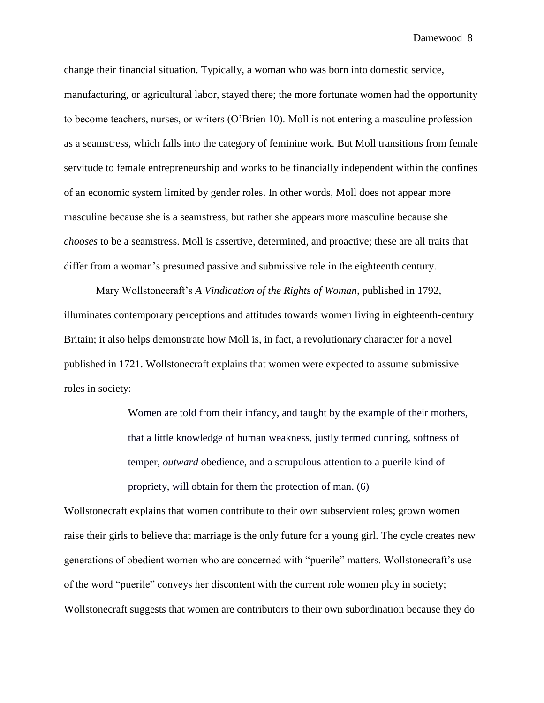change their financial situation. Typically, a woman who was born into domestic service, manufacturing, or agricultural labor, stayed there; the more fortunate women had the opportunity to become teachers, nurses, or writers (O'Brien 10). Moll is not entering a masculine profession as a seamstress, which falls into the category of feminine work. But Moll transitions from female servitude to female entrepreneurship and works to be financially independent within the confines of an economic system limited by gender roles. In other words, Moll does not appear more masculine because she is a seamstress, but rather she appears more masculine because she *chooses* to be a seamstress. Moll is assertive, determined, and proactive; these are all traits that differ from a woman's presumed passive and submissive role in the eighteenth century.

Mary Wollstonecraft's *A Vindication of the Rights of Woman,* published in 1792, illuminates contemporary perceptions and attitudes towards women living in eighteenth-century Britain; it also helps demonstrate how Moll is, in fact, a revolutionary character for a novel published in 1721. Wollstonecraft explains that women were expected to assume submissive roles in society:

> Women are told from their infancy, and taught by the example of their mothers, that a little knowledge of human weakness, justly termed cunning, softness of temper, *outward* obedience, and a scrupulous attention to a puerile kind of propriety, will obtain for them the protection of man. (6)

Wollstonecraft explains that women contribute to their own subservient roles; grown women raise their girls to believe that marriage is the only future for a young girl. The cycle creates new generations of obedient women who are concerned with "puerile" matters. Wollstonecraft's use of the word "puerile" conveys her discontent with the current role women play in society; Wollstonecraft suggests that women are contributors to their own subordination because they do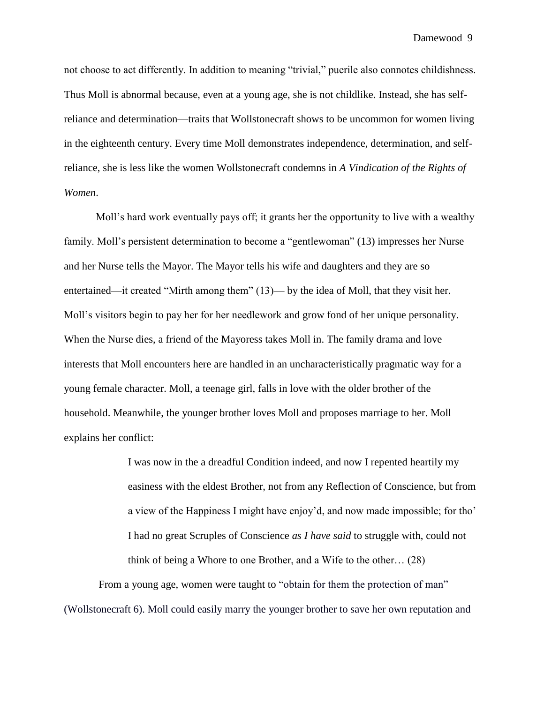not choose to act differently. In addition to meaning "trivial," puerile also connotes childishness. Thus Moll is abnormal because, even at a young age, she is not childlike. Instead, she has selfreliance and determination—traits that Wollstonecraft shows to be uncommon for women living in the eighteenth century. Every time Moll demonstrates independence, determination, and selfreliance, she is less like the women Wollstonecraft condemns in *A Vindication of the Rights of Women*.

Moll's hard work eventually pays off; it grants her the opportunity to live with a wealthy family. Moll's persistent determination to become a "gentlewoman" (13) impresses her Nurse and her Nurse tells the Mayor. The Mayor tells his wife and daughters and they are so entertained—it created "Mirth among them" (13)— by the idea of Moll, that they visit her. Moll's visitors begin to pay her for her needlework and grow fond of her unique personality. When the Nurse dies, a friend of the Mayoress takes Moll in. The family drama and love interests that Moll encounters here are handled in an uncharacteristically pragmatic way for a young female character. Moll, a teenage girl, falls in love with the older brother of the household. Meanwhile, the younger brother loves Moll and proposes marriage to her. Moll explains her conflict:

> I was now in the a dreadful Condition indeed, and now I repented heartily my easiness with the eldest Brother, not from any Reflection of Conscience, but from a view of the Happiness I might have enjoy'd, and now made impossible; for tho' I had no great Scruples of Conscience *as I have said* to struggle with, could not think of being a Whore to one Brother, and a Wife to the other… (28)

From a young age, women were taught to "obtain for them the protection of man" (Wollstonecraft 6). Moll could easily marry the younger brother to save her own reputation and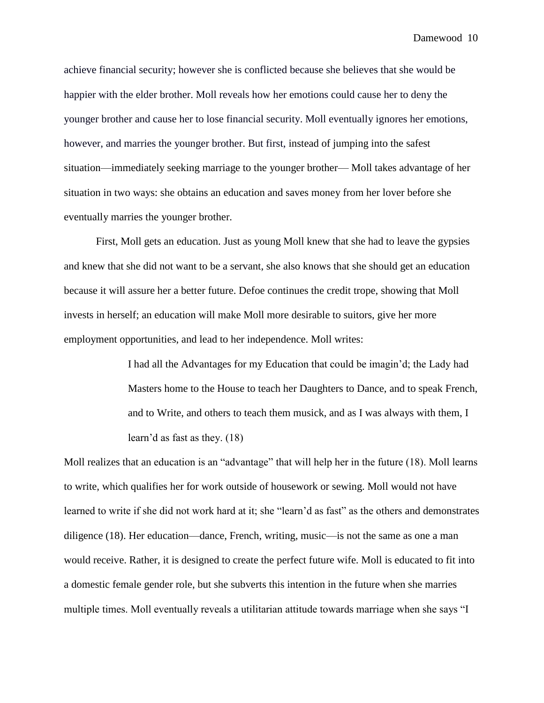achieve financial security; however she is conflicted because she believes that she would be happier with the elder brother. Moll reveals how her emotions could cause her to deny the younger brother and cause her to lose financial security. Moll eventually ignores her emotions, however, and marries the younger brother. But first, instead of jumping into the safest situation—immediately seeking marriage to the younger brother— Moll takes advantage of her situation in two ways: she obtains an education and saves money from her lover before she eventually marries the younger brother.

First, Moll gets an education. Just as young Moll knew that she had to leave the gypsies and knew that she did not want to be a servant, she also knows that she should get an education because it will assure her a better future. Defoe continues the credit trope, showing that Moll invests in herself; an education will make Moll more desirable to suitors, give her more employment opportunities, and lead to her independence. Moll writes:

> I had all the Advantages for my Education that could be imagin'd; the Lady had Masters home to the House to teach her Daughters to Dance, and to speak French, and to Write, and others to teach them musick, and as I was always with them, I learn'd as fast as they. (18)

Moll realizes that an education is an "advantage" that will help her in the future (18). Moll learns to write, which qualifies her for work outside of housework or sewing. Moll would not have learned to write if she did not work hard at it; she "learn'd as fast" as the others and demonstrates diligence (18). Her education—dance, French, writing, music—is not the same as one a man would receive. Rather, it is designed to create the perfect future wife. Moll is educated to fit into a domestic female gender role, but she subverts this intention in the future when she marries multiple times. Moll eventually reveals a utilitarian attitude towards marriage when she says "I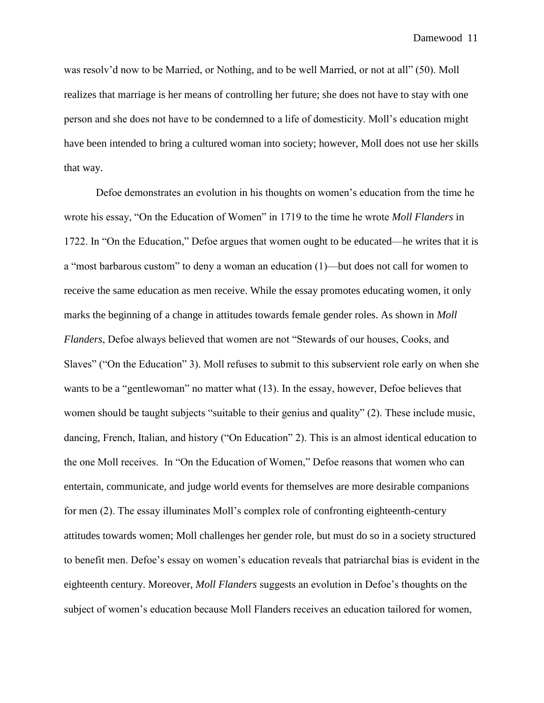was resolv'd now to be Married, or Nothing, and to be well Married, or not at all" (50). Moll realizes that marriage is her means of controlling her future; she does not have to stay with one person and she does not have to be condemned to a life of domesticity. Moll's education might have been intended to bring a cultured woman into society; however, Moll does not use her skills that way.

Defoe demonstrates an evolution in his thoughts on women's education from the time he wrote his essay, "On the Education of Women" in 1719 to the time he wrote *Moll Flanders* in 1722. In "On the Education," Defoe argues that women ought to be educated—he writes that it is a "most barbarous custom" to deny a woman an education (1)—but does not call for women to receive the same education as men receive. While the essay promotes educating women, it only marks the beginning of a change in attitudes towards female gender roles. As shown in *Moll Flanders*, Defoe always believed that women are not "Stewards of our houses, Cooks, and Slaves" ("On the Education" 3). Moll refuses to submit to this subservient role early on when she wants to be a "gentlewoman" no matter what (13). In the essay, however, Defoe believes that women should be taught subjects "suitable to their genius and quality" (2). These include music, dancing, French, Italian, and history ("On Education" 2). This is an almost identical education to the one Moll receives. In "On the Education of Women," Defoe reasons that women who can entertain, communicate, and judge world events for themselves are more desirable companions for men (2). The essay illuminates Moll's complex role of confronting eighteenth-century attitudes towards women; Moll challenges her gender role, but must do so in a society structured to benefit men. Defoe's essay on women's education reveals that patriarchal bias is evident in the eighteenth century. Moreover, *Moll Flanders* suggests an evolution in Defoe's thoughts on the subject of women's education because Moll Flanders receives an education tailored for women,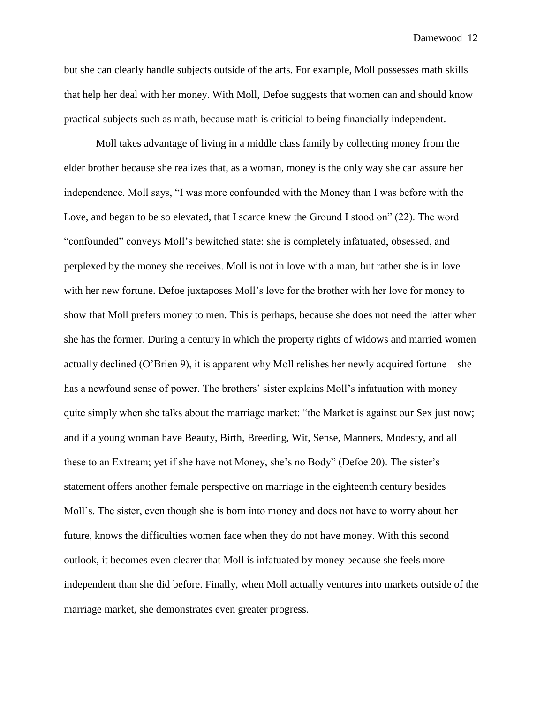but she can clearly handle subjects outside of the arts. For example, Moll possesses math skills that help her deal with her money. With Moll, Defoe suggests that women can and should know practical subjects such as math, because math is criticial to being financially independent.

Moll takes advantage of living in a middle class family by collecting money from the elder brother because she realizes that, as a woman, money is the only way she can assure her independence. Moll says, "I was more confounded with the Money than I was before with the Love, and began to be so elevated, that I scarce knew the Ground I stood on" (22). The word "confounded" conveys Moll's bewitched state: she is completely infatuated, obsessed, and perplexed by the money she receives. Moll is not in love with a man, but rather she is in love with her new fortune. Defoe juxtaposes Moll's love for the brother with her love for money to show that Moll prefers money to men. This is perhaps, because she does not need the latter when she has the former. During a century in which the property rights of widows and married women actually declined (O'Brien 9), it is apparent why Moll relishes her newly acquired fortune—she has a newfound sense of power. The brothers' sister explains Moll's infatuation with money quite simply when she talks about the marriage market: "the Market is against our Sex just now; and if a young woman have Beauty, Birth, Breeding, Wit, Sense, Manners, Modesty, and all these to an Extream; yet if she have not Money, she's no Body" (Defoe 20). The sister's statement offers another female perspective on marriage in the eighteenth century besides Moll's. The sister, even though she is born into money and does not have to worry about her future, knows the difficulties women face when they do not have money. With this second outlook, it becomes even clearer that Moll is infatuated by money because she feels more independent than she did before. Finally, when Moll actually ventures into markets outside of the marriage market, she demonstrates even greater progress.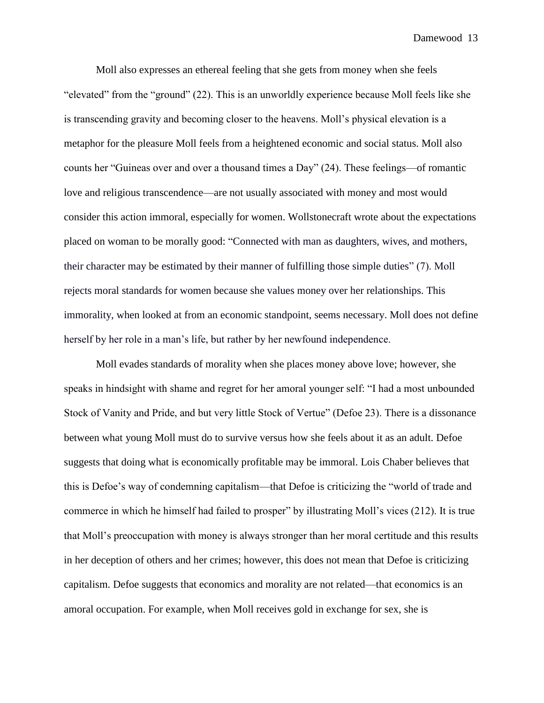Moll also expresses an ethereal feeling that she gets from money when she feels "elevated" from the "ground" (22). This is an unworldly experience because Moll feels like she is transcending gravity and becoming closer to the heavens. Moll's physical elevation is a metaphor for the pleasure Moll feels from a heightened economic and social status. Moll also counts her "Guineas over and over a thousand times a Day" (24). These feelings—of romantic love and religious transcendence—are not usually associated with money and most would consider this action immoral, especially for women. Wollstonecraft wrote about the expectations placed on woman to be morally good: "Connected with man as daughters, wives, and mothers, their character may be estimated by their manner of fulfilling those simple duties" (7). Moll rejects moral standards for women because she values money over her relationships. This immorality, when looked at from an economic standpoint, seems necessary. Moll does not define herself by her role in a man's life, but rather by her newfound independence.

Moll evades standards of morality when she places money above love; however, she speaks in hindsight with shame and regret for her amoral younger self: "I had a most unbounded Stock of Vanity and Pride, and but very little Stock of Vertue" (Defoe 23). There is a dissonance between what young Moll must do to survive versus how she feels about it as an adult. Defoe suggests that doing what is economically profitable may be immoral. Lois Chaber believes that this is Defoe's way of condemning capitalism—that Defoe is criticizing the "world of trade and commerce in which he himself had failed to prosper" by illustrating Moll's vices (212). It is true that Moll's preoccupation with money is always stronger than her moral certitude and this results in her deception of others and her crimes; however, this does not mean that Defoe is criticizing capitalism. Defoe suggests that economics and morality are not related—that economics is an amoral occupation. For example, when Moll receives gold in exchange for sex, she is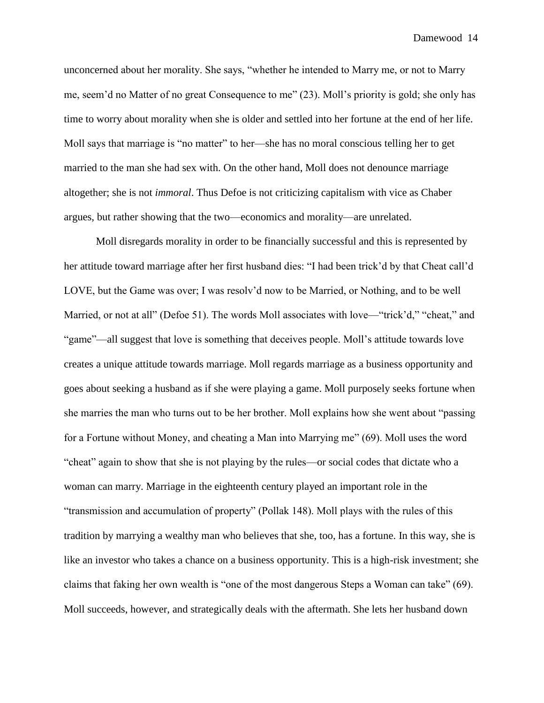unconcerned about her morality. She says, "whether he intended to Marry me, or not to Marry me, seem'd no Matter of no great Consequence to me" (23). Moll's priority is gold; she only has time to worry about morality when she is older and settled into her fortune at the end of her life. Moll says that marriage is "no matter" to her—she has no moral conscious telling her to get married to the man she had sex with. On the other hand, Moll does not denounce marriage altogether; she is not *immoral*. Thus Defoe is not criticizing capitalism with vice as Chaber argues, but rather showing that the two—economics and morality—are unrelated.

Moll disregards morality in order to be financially successful and this is represented by her attitude toward marriage after her first husband dies: "I had been trick'd by that Cheat call'd LOVE, but the Game was over; I was resolv'd now to be Married, or Nothing, and to be well Married, or not at all" (Defoe 51). The words Moll associates with love—"trick'd," "cheat," and "game"—all suggest that love is something that deceives people. Moll's attitude towards love creates a unique attitude towards marriage. Moll regards marriage as a business opportunity and goes about seeking a husband as if she were playing a game. Moll purposely seeks fortune when she marries the man who turns out to be her brother. Moll explains how she went about "passing for a Fortune without Money, and cheating a Man into Marrying me" (69). Moll uses the word "cheat" again to show that she is not playing by the rules—or social codes that dictate who a woman can marry. Marriage in the eighteenth century played an important role in the "transmission and accumulation of property" (Pollak 148). Moll plays with the rules of this tradition by marrying a wealthy man who believes that she, too, has a fortune. In this way, she is like an investor who takes a chance on a business opportunity. This is a high-risk investment; she claims that faking her own wealth is "one of the most dangerous Steps a Woman can take" (69). Moll succeeds, however, and strategically deals with the aftermath. She lets her husband down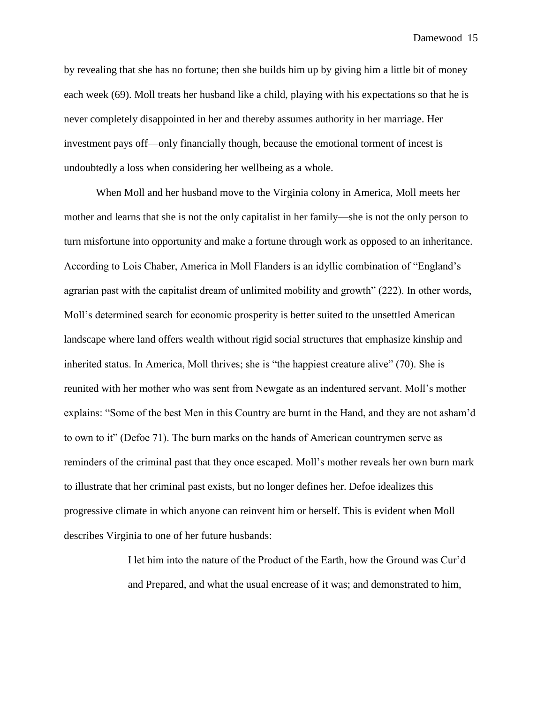by revealing that she has no fortune; then she builds him up by giving him a little bit of money each week (69). Moll treats her husband like a child, playing with his expectations so that he is never completely disappointed in her and thereby assumes authority in her marriage. Her investment pays off—only financially though, because the emotional torment of incest is undoubtedly a loss when considering her wellbeing as a whole.

When Moll and her husband move to the Virginia colony in America, Moll meets her mother and learns that she is not the only capitalist in her family—she is not the only person to turn misfortune into opportunity and make a fortune through work as opposed to an inheritance. According to Lois Chaber, America in Moll Flanders is an idyllic combination of "England's agrarian past with the capitalist dream of unlimited mobility and growth" (222). In other words, Moll's determined search for economic prosperity is better suited to the unsettled American landscape where land offers wealth without rigid social structures that emphasize kinship and inherited status. In America, Moll thrives; she is "the happiest creature alive" (70). She is reunited with her mother who was sent from Newgate as an indentured servant. Moll's mother explains: "Some of the best Men in this Country are burnt in the Hand, and they are not asham'd to own to it" (Defoe 71). The burn marks on the hands of American countrymen serve as reminders of the criminal past that they once escaped. Moll's mother reveals her own burn mark to illustrate that her criminal past exists, but no longer defines her. Defoe idealizes this progressive climate in which anyone can reinvent him or herself. This is evident when Moll describes Virginia to one of her future husbands:

> I let him into the nature of the Product of the Earth, how the Ground was Cur'd and Prepared, and what the usual encrease of it was; and demonstrated to him,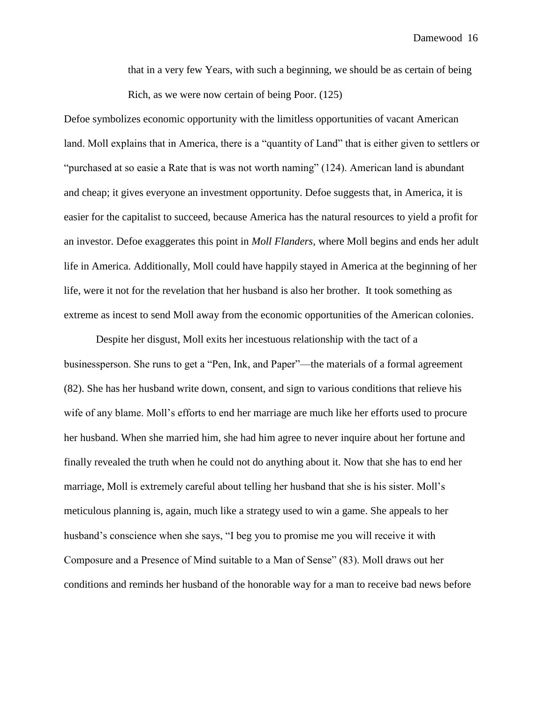that in a very few Years, with such a beginning, we should be as certain of being Rich, as we were now certain of being Poor. (125)

Defoe symbolizes economic opportunity with the limitless opportunities of vacant American land. Moll explains that in America, there is a "quantity of Land" that is either given to settlers or "purchased at so easie a Rate that is was not worth naming" (124). American land is abundant and cheap; it gives everyone an investment opportunity. Defoe suggests that, in America, it is easier for the capitalist to succeed, because America has the natural resources to yield a profit for an investor. Defoe exaggerates this point in *Moll Flanders*, where Moll begins and ends her adult life in America. Additionally, Moll could have happily stayed in America at the beginning of her life, were it not for the revelation that her husband is also her brother. It took something as extreme as incest to send Moll away from the economic opportunities of the American colonies.

Despite her disgust, Moll exits her incestuous relationship with the tact of a businessperson. She runs to get a "Pen, Ink, and Paper"—the materials of a formal agreement (82). She has her husband write down, consent, and sign to various conditions that relieve his wife of any blame. Moll's efforts to end her marriage are much like her efforts used to procure her husband. When she married him, she had him agree to never inquire about her fortune and finally revealed the truth when he could not do anything about it. Now that she has to end her marriage, Moll is extremely careful about telling her husband that she is his sister. Moll's meticulous planning is, again, much like a strategy used to win a game. She appeals to her husband's conscience when she says, "I beg you to promise me you will receive it with Composure and a Presence of Mind suitable to a Man of Sense" (83). Moll draws out her conditions and reminds her husband of the honorable way for a man to receive bad news before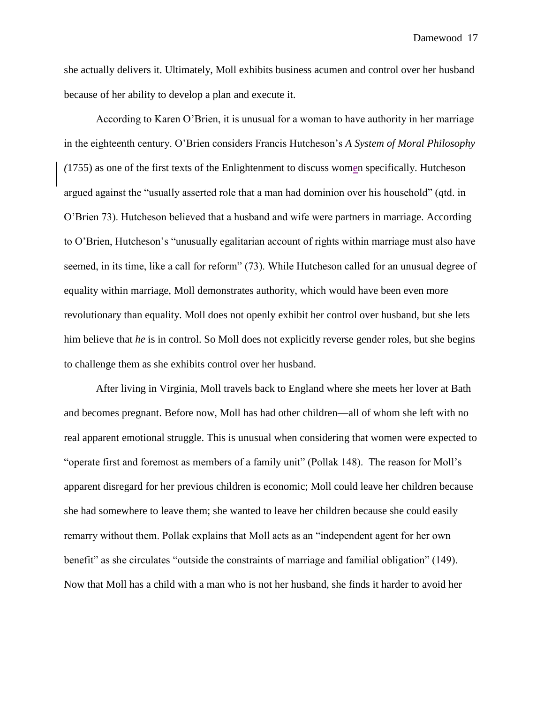she actually delivers it. Ultimately, Moll exhibits business acumen and control over her husband because of her ability to develop a plan and execute it.

According to Karen O'Brien, it is unusual for a woman to have authority in her marriage in the eighteenth century. O'Brien considers Francis Hutcheson's *A System of Moral Philosophy (*1755) as one of the first texts of the Enlightenment to discuss women specifically. Hutcheson argued against the "usually asserted role that a man had dominion over his household" (qtd. in O'Brien 73). Hutcheson believed that a husband and wife were partners in marriage. According to O'Brien, Hutcheson's "unusually egalitarian account of rights within marriage must also have seemed, in its time, like a call for reform" (73). While Hutcheson called for an unusual degree of equality within marriage, Moll demonstrates authority, which would have been even more revolutionary than equality. Moll does not openly exhibit her control over husband, but she lets him believe that *he* is in control. So Moll does not explicitly reverse gender roles, but she begins to challenge them as she exhibits control over her husband.

After living in Virginia, Moll travels back to England where she meets her lover at Bath and becomes pregnant. Before now, Moll has had other children—all of whom she left with no real apparent emotional struggle. This is unusual when considering that women were expected to "operate first and foremost as members of a family unit" (Pollak 148). The reason for Moll's apparent disregard for her previous children is economic; Moll could leave her children because she had somewhere to leave them; she wanted to leave her children because she could easily remarry without them. Pollak explains that Moll acts as an "independent agent for her own benefit" as she circulates "outside the constraints of marriage and familial obligation" (149). Now that Moll has a child with a man who is not her husband, she finds it harder to avoid her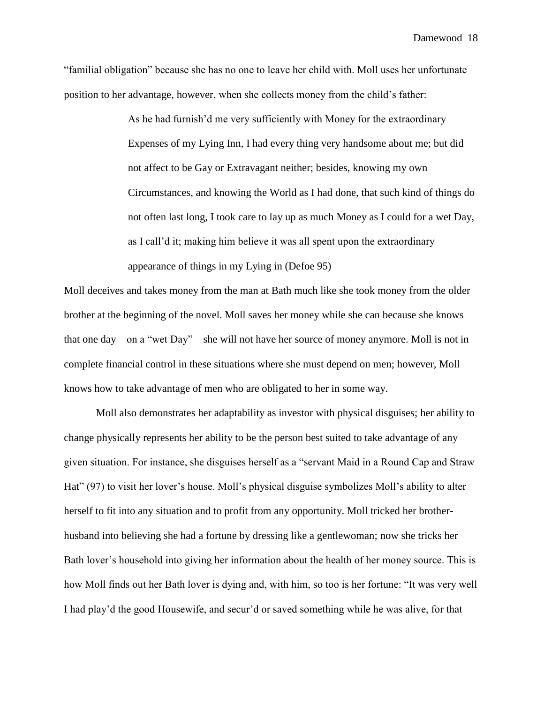"familial obligation" because she has no one to leave her child with. Moll uses her unfortunate position to her advantage, however, when she collects money from the child's father:

> As he had furnish'd me very sufficiently with Money for the extraordinary Expenses of my Lying Inn, I had every thing very handsome about me; but did not affect to be Gay or Extravagant neither; besides, knowing my own Circumstances, and knowing the World as I had done, that such kind of things do not often last long, I took care to lay up as much Money as I could for a wet Day, as I call'd it; making him believe it was all spent upon the extraordinary appearance of things in my Lying in (Defoe 95)

Moll deceives and takes money from the man at Bath much like she took money from the older brother at the beginning of the novel. Moll saves her money while she can because she knows that one day—on a "wet Day"—she will not have her source of money anymore. Moll is not in complete financial control in these situations where she must depend on men; however, Moll knows how to take advantage of men who are obligated to her in some way.

Moll also demonstrates her adaptability as investor with physical disguises; her ability to change physically represents her ability to be the person best suited to take advantage of any given situation. For instance, she disguises herself as a "servant Maid in a Round Cap and Straw Hat" (97) to visit her lover's house. Moll's physical disguise symbolizes Moll's ability to alter herself to fit into any situation and to profit from any opportunity. Moll tricked her brotherhusband into believing she had a fortune by dressing like a gentlewoman; now she tricks her Bath lover's household into giving her information about the health of her money source. This is how Moll finds out her Bath lover is dying and, with him, so too is her fortune: "It was very well I had play'd the good Housewife, and secur'd or saved something while he was alive, for that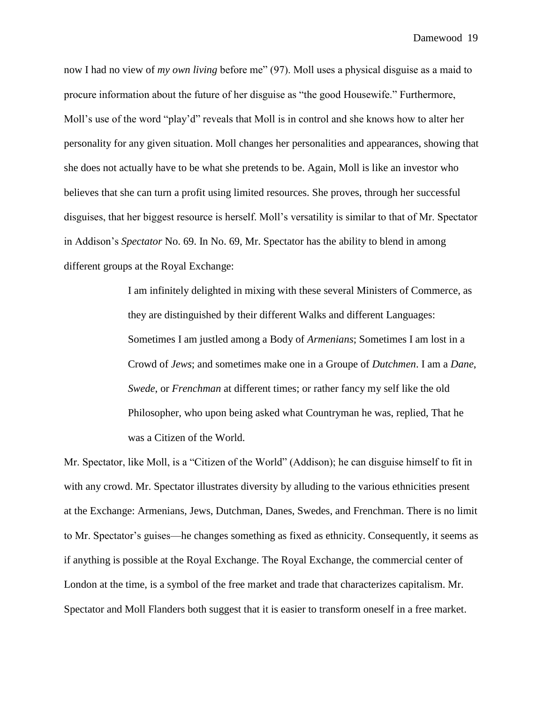now I had no view of *my own living* before me" (97). Moll uses a physical disguise as a maid to procure information about the future of her disguise as "the good Housewife." Furthermore, Moll's use of the word "play'd" reveals that Moll is in control and she knows how to alter her personality for any given situation. Moll changes her personalities and appearances, showing that she does not actually have to be what she pretends to be. Again, Moll is like an investor who believes that she can turn a profit using limited resources. She proves, through her successful disguises, that her biggest resource is herself. Moll's versatility is similar to that of Mr. Spectator in Addison's *Spectator* No. 69. In No. 69, Mr. Spectator has the ability to blend in among different groups at the Royal Exchange:

> I am infinitely delighted in mixing with these several Ministers of Commerce, as they are distinguished by their different Walks and different Languages: Sometimes I am justled among a Body of *Armenians*; Sometimes I am lost in a Crowd of *Jews*; and sometimes make one in a Groupe of *Dutchmen*. I am a *Dane*, *Swede*, or *Frenchman* at different times; or rather fancy my self like the old Philosopher, who upon being asked what Countryman he was, replied, That he was a Citizen of the World.

Mr. Spectator, like Moll, is a "Citizen of the World" (Addison); he can disguise himself to fit in with any crowd. Mr. Spectator illustrates diversity by alluding to the various ethnicities present at the Exchange: Armenians, Jews, Dutchman, Danes, Swedes, and Frenchman. There is no limit to Mr. Spectator's guises—he changes something as fixed as ethnicity. Consequently, it seems as if anything is possible at the Royal Exchange. The Royal Exchange, the commercial center of London at the time, is a symbol of the free market and trade that characterizes capitalism. Mr. Spectator and Moll Flanders both suggest that it is easier to transform oneself in a free market.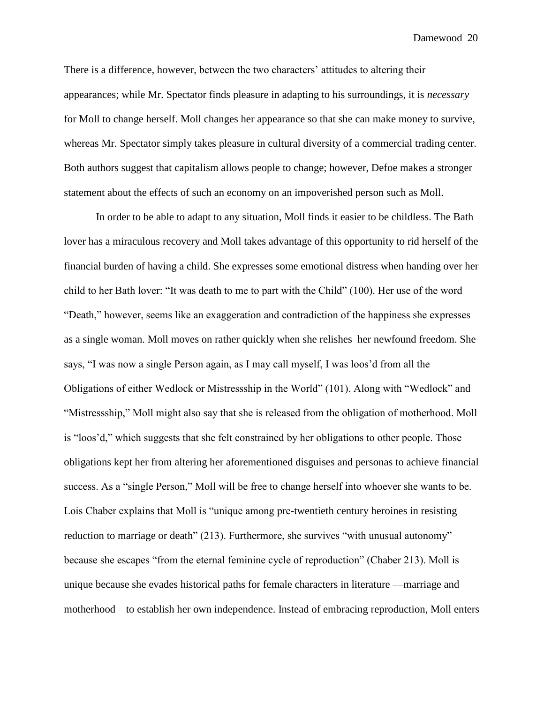There is a difference, however, between the two characters' attitudes to altering their appearances; while Mr. Spectator finds pleasure in adapting to his surroundings, it is *necessary* for Moll to change herself. Moll changes her appearance so that she can make money to survive, whereas Mr. Spectator simply takes pleasure in cultural diversity of a commercial trading center. Both authors suggest that capitalism allows people to change; however, Defoe makes a stronger statement about the effects of such an economy on an impoverished person such as Moll.

In order to be able to adapt to any situation, Moll finds it easier to be childless. The Bath lover has a miraculous recovery and Moll takes advantage of this opportunity to rid herself of the financial burden of having a child. She expresses some emotional distress when handing over her child to her Bath lover: "It was death to me to part with the Child" (100). Her use of the word "Death," however, seems like an exaggeration and contradiction of the happiness she expresses as a single woman. Moll moves on rather quickly when she relishes her newfound freedom. She says, "I was now a single Person again, as I may call myself, I was loos'd from all the Obligations of either Wedlock or Mistressship in the World" (101). Along with "Wedlock" and "Mistressship," Moll might also say that she is released from the obligation of motherhood. Moll is "loos'd," which suggests that she felt constrained by her obligations to other people. Those obligations kept her from altering her aforementioned disguises and personas to achieve financial success. As a "single Person," Moll will be free to change herself into whoever she wants to be. Lois Chaber explains that Moll is "unique among pre-twentieth century heroines in resisting reduction to marriage or death" (213). Furthermore, she survives "with unusual autonomy" because she escapes "from the eternal feminine cycle of reproduction" (Chaber 213). Moll is unique because she evades historical paths for female characters in literature —marriage and motherhood—to establish her own independence. Instead of embracing reproduction, Moll enters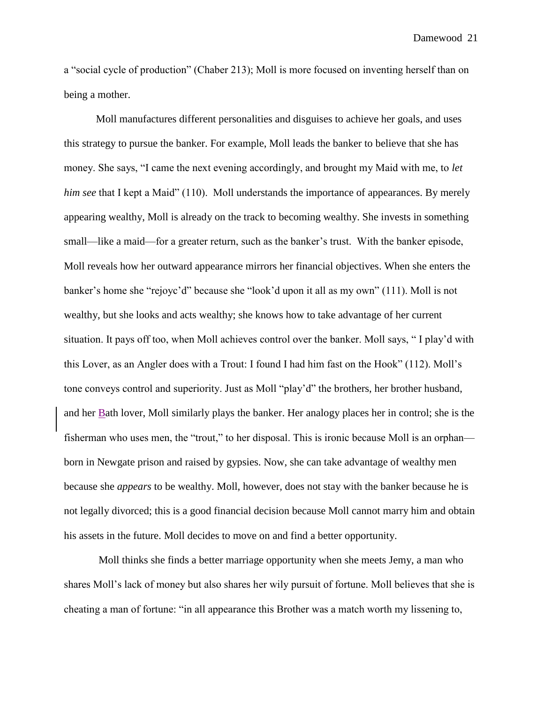a "social cycle of production" (Chaber 213); Moll is more focused on inventing herself than on being a mother.

Moll manufactures different personalities and disguises to achieve her goals, and uses this strategy to pursue the banker. For example, Moll leads the banker to believe that she has money. She says, "I came the next evening accordingly, and brought my Maid with me, to *let him see* that I kept a Maid" (110). Moll understands the importance of appearances. By merely appearing wealthy, Moll is already on the track to becoming wealthy. She invests in something small—like a maid—for a greater return, such as the banker's trust. With the banker episode, Moll reveals how her outward appearance mirrors her financial objectives. When she enters the banker's home she "rejoyc'd" because she "look'd upon it all as my own" (111). Moll is not wealthy, but she looks and acts wealthy; she knows how to take advantage of her current situation. It pays off too, when Moll achieves control over the banker. Moll says, " I play'd with this Lover, as an Angler does with a Trout: I found I had him fast on the Hook" (112). Moll's tone conveys control and superiority. Just as Moll "play'd" the brothers, her brother husband, and her Bath lover, Moll similarly plays the banker. Her analogy places her in control; she is the fisherman who uses men, the "trout," to her disposal. This is ironic because Moll is an orphan born in Newgate prison and raised by gypsies. Now, she can take advantage of wealthy men because she *appears* to be wealthy. Moll, however, does not stay with the banker because he is not legally divorced; this is a good financial decision because Moll cannot marry him and obtain his assets in the future. Moll decides to move on and find a better opportunity.

Moll thinks she finds a better marriage opportunity when she meets Jemy, a man who shares Moll's lack of money but also shares her wily pursuit of fortune. Moll believes that she is cheating a man of fortune: "in all appearance this Brother was a match worth my lissening to,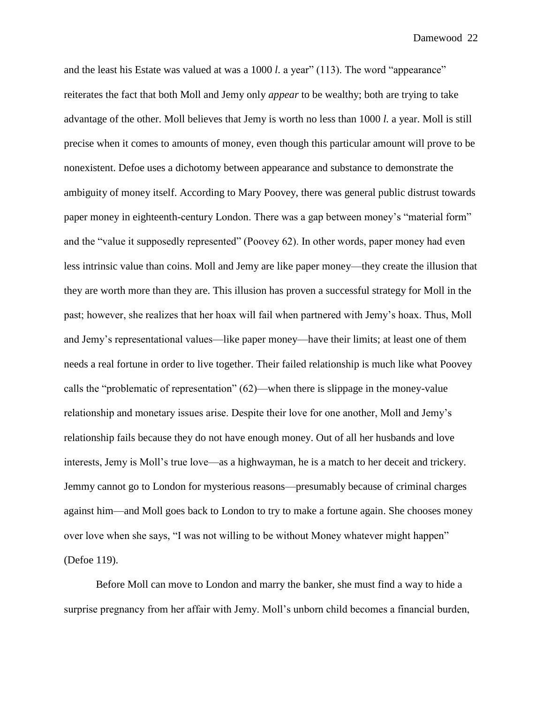and the least his Estate was valued at was a 1000 *l.* a year" (113). The word "appearance" reiterates the fact that both Moll and Jemy only *appear* to be wealthy; both are trying to take advantage of the other. Moll believes that Jemy is worth no less than 1000 *l.* a year. Moll is still precise when it comes to amounts of money, even though this particular amount will prove to be nonexistent. Defoe uses a dichotomy between appearance and substance to demonstrate the ambiguity of money itself. According to Mary Poovey, there was general public distrust towards paper money in eighteenth-century London. There was a gap between money's "material form" and the "value it supposedly represented" (Poovey 62). In other words, paper money had even less intrinsic value than coins. Moll and Jemy are like paper money—they create the illusion that they are worth more than they are. This illusion has proven a successful strategy for Moll in the past; however, she realizes that her hoax will fail when partnered with Jemy's hoax. Thus, Moll and Jemy's representational values—like paper money—have their limits; at least one of them needs a real fortune in order to live together. Their failed relationship is much like what Poovey calls the "problematic of representation" (62)—when there is slippage in the money-value relationship and monetary issues arise. Despite their love for one another, Moll and Jemy's relationship fails because they do not have enough money. Out of all her husbands and love interests, Jemy is Moll's true love—as a highwayman, he is a match to her deceit and trickery. Jemmy cannot go to London for mysterious reasons—presumably because of criminal charges against him—and Moll goes back to London to try to make a fortune again. She chooses money over love when she says, "I was not willing to be without Money whatever might happen" (Defoe 119).

Before Moll can move to London and marry the banker, she must find a way to hide a surprise pregnancy from her affair with Jemy. Moll's unborn child becomes a financial burden,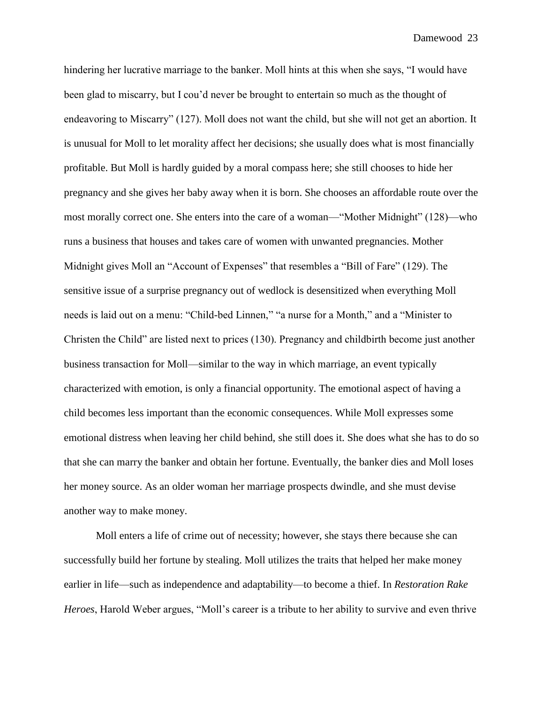hindering her lucrative marriage to the banker. Moll hints at this when she says, "I would have been glad to miscarry, but I cou'd never be brought to entertain so much as the thought of endeavoring to Miscarry" (127). Moll does not want the child, but she will not get an abortion. It is unusual for Moll to let morality affect her decisions; she usually does what is most financially profitable. But Moll is hardly guided by a moral compass here; she still chooses to hide her pregnancy and she gives her baby away when it is born. She chooses an affordable route over the most morally correct one. She enters into the care of a woman—"Mother Midnight" (128)—who runs a business that houses and takes care of women with unwanted pregnancies. Mother Midnight gives Moll an "Account of Expenses" that resembles a "Bill of Fare" (129). The sensitive issue of a surprise pregnancy out of wedlock is desensitized when everything Moll needs is laid out on a menu: "Child-bed Linnen," "a nurse for a Month," and a "Minister to Christen the Child" are listed next to prices (130). Pregnancy and childbirth become just another business transaction for Moll—similar to the way in which marriage, an event typically characterized with emotion, is only a financial opportunity. The emotional aspect of having a child becomes less important than the economic consequences. While Moll expresses some emotional distress when leaving her child behind, she still does it. She does what she has to do so that she can marry the banker and obtain her fortune. Eventually, the banker dies and Moll loses her money source. As an older woman her marriage prospects dwindle, and she must devise another way to make money.

Moll enters a life of crime out of necessity; however, she stays there because she can successfully build her fortune by stealing. Moll utilizes the traits that helped her make money earlier in life—such as independence and adaptability—to become a thief. In *Restoration Rake Heroes*, Harold Weber argues, "Moll's career is a tribute to her ability to survive and even thrive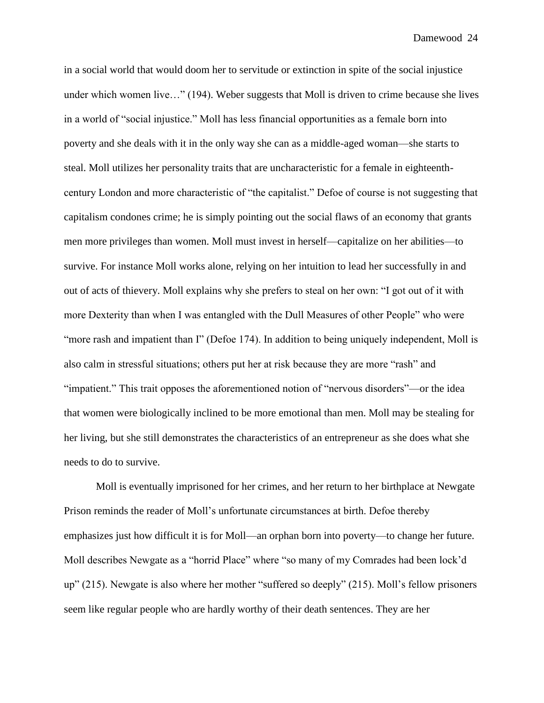in a social world that would doom her to servitude or extinction in spite of the social injustice under which women live..." (194). Weber suggests that Moll is driven to crime because she lives in a world of "social injustice." Moll has less financial opportunities as a female born into poverty and she deals with it in the only way she can as a middle-aged woman—she starts to steal. Moll utilizes her personality traits that are uncharacteristic for a female in eighteenthcentury London and more characteristic of "the capitalist." Defoe of course is not suggesting that capitalism condones crime; he is simply pointing out the social flaws of an economy that grants men more privileges than women. Moll must invest in herself—capitalize on her abilities—to survive. For instance Moll works alone, relying on her intuition to lead her successfully in and out of acts of thievery. Moll explains why she prefers to steal on her own: "I got out of it with more Dexterity than when I was entangled with the Dull Measures of other People" who were "more rash and impatient than I" (Defoe 174). In addition to being uniquely independent, Moll is also calm in stressful situations; others put her at risk because they are more "rash" and "impatient." This trait opposes the aforementioned notion of "nervous disorders"—or the idea that women were biologically inclined to be more emotional than men. Moll may be stealing for her living, but she still demonstrates the characteristics of an entrepreneur as she does what she needs to do to survive.

Moll is eventually imprisoned for her crimes, and her return to her birthplace at Newgate Prison reminds the reader of Moll's unfortunate circumstances at birth. Defoe thereby emphasizes just how difficult it is for Moll—an orphan born into poverty—to change her future. Moll describes Newgate as a "horrid Place" where "so many of my Comrades had been lock'd up" (215). Newgate is also where her mother "suffered so deeply" (215). Moll's fellow prisoners seem like regular people who are hardly worthy of their death sentences. They are her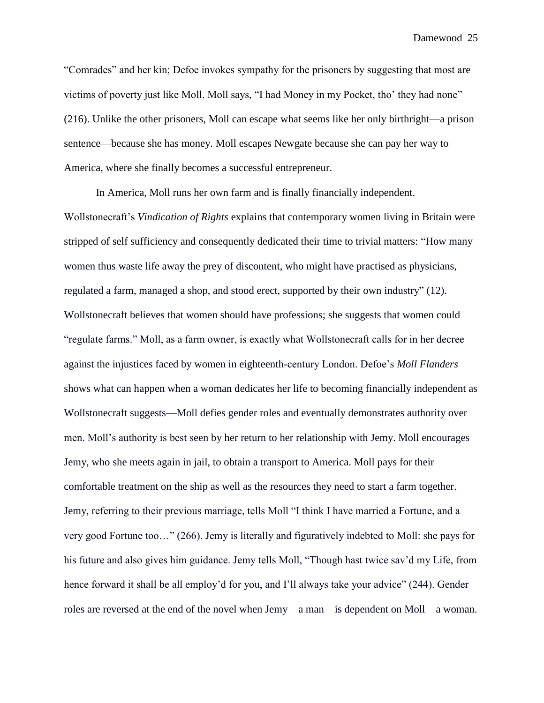"Comrades" and her kin; Defoe invokes sympathy for the prisoners by suggesting that most are victims of poverty just like Moll. Moll says, "I had Money in my Pocket, tho' they had none" (216). Unlike the other prisoners, Moll can escape what seems like her only birthright—a prison sentence—because she has money. Moll escapes Newgate because she can pay her way to America, where she finally becomes a successful entrepreneur.

In America, Moll runs her own farm and is finally financially independent.

Wollstonecraft's *Vindication of Rights* explains that contemporary women living in Britain were stripped of self sufficiency and consequently dedicated their time to trivial matters: "How many women thus waste life away the prey of discontent, who might have practised as physicians, regulated a farm, managed a shop, and stood erect, supported by their own industry" (12). Wollstonecraft believes that women should have professions; she suggests that women could "regulate farms." Moll, as a farm owner, is exactly what Wollstonecraft calls for in her decree against the injustices faced by women in eighteenth-century London. Defoe's *Moll Flanders* shows what can happen when a woman dedicates her life to becoming financially independent as Wollstonecraft suggests—Moll defies gender roles and eventually demonstrates authority over men. Moll's authority is best seen by her return to her relationship with Jemy. Moll encourages Jemy, who she meets again in jail, to obtain a transport to America. Moll pays for their comfortable treatment on the ship as well as the resources they need to start a farm together. Jemy, referring to their previous marriage, tells Moll "I think I have married a Fortune, and a very good Fortune too…" (266). Jemy is literally and figuratively indebted to Moll: she pays for his future and also gives him guidance. Jemy tells Moll, "Though hast twice sav'd my Life, from hence forward it shall be all employ'd for you, and I'll always take your advice" (244). Gender roles are reversed at the end of the novel when Jemy—a man—is dependent on Moll—a woman.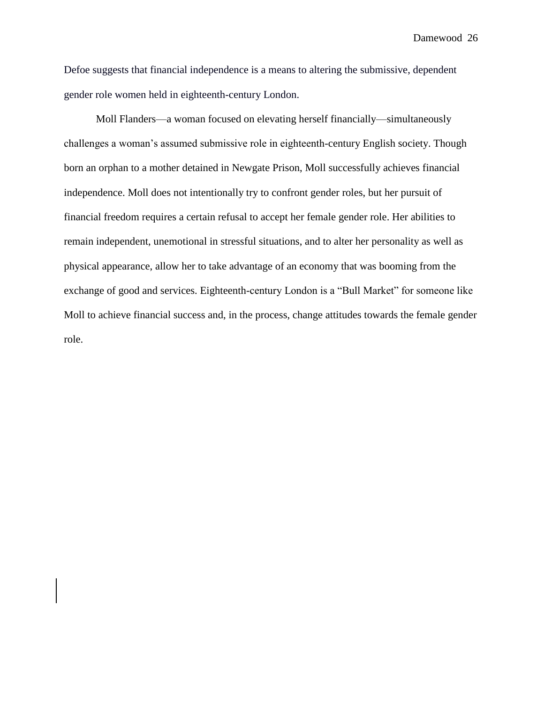Defoe suggests that financial independence is a means to altering the submissive, dependent gender role women held in eighteenth-century London.

Moll Flanders—a woman focused on elevating herself financially—simultaneously challenges a woman's assumed submissive role in eighteenth-century English society. Though born an orphan to a mother detained in Newgate Prison, Moll successfully achieves financial independence. Moll does not intentionally try to confront gender roles, but her pursuit of financial freedom requires a certain refusal to accept her female gender role. Her abilities to remain independent, unemotional in stressful situations, and to alter her personality as well as physical appearance, allow her to take advantage of an economy that was booming from the exchange of good and services. Eighteenth-century London is a "Bull Market" for someone like Moll to achieve financial success and, in the process, change attitudes towards the female gender role.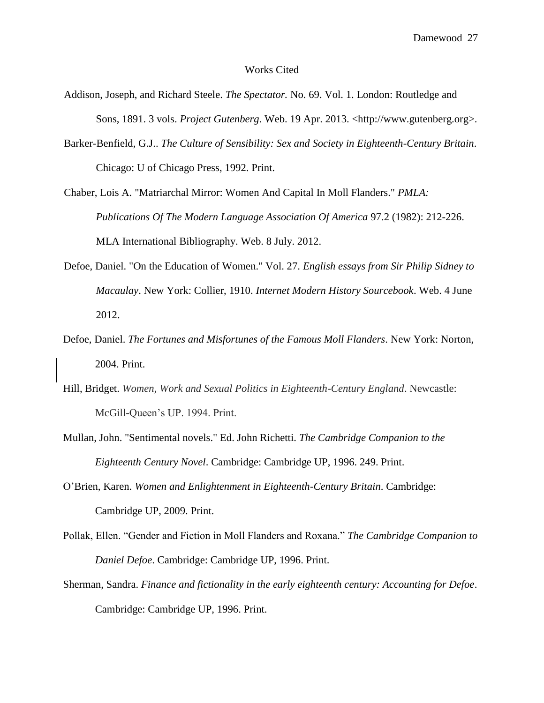## Works Cited

- Addison, Joseph, and Richard Steele. *The Spectator.* No. 69. Vol. 1. London: Routledge and Sons, 1891. 3 vols. *Project Gutenberg*. Web. 19 Apr. 2013. <http://www.gutenberg.org>.
- Barker-Benfield, G.J.. *The Culture of Sensibility: Sex and Society in Eighteenth-Century Britain*. Chicago: U of Chicago Press, 1992. Print.
- Chaber, Lois A. "Matriarchal Mirror: Women And Capital In Moll Flanders." *PMLA: Publications Of The Modern Language Association Of America* 97.2 (1982): 212-226. MLA International Bibliography. Web. 8 July. 2012.
- Defoe, Daniel. "On the Education of Women." Vol. 27. *English essays from Sir Philip Sidney to Macaulay*. New York: Collier, 1910. *Internet Modern History Sourcebook*. Web. 4 June 2012.
- Defoe, Daniel. *The Fortunes and Misfortunes of the Famous Moll Flanders*. New York: Norton, 2004. Print.
- Hill, Bridget. *Women, Work and Sexual Politics in Eighteenth-Century England*. Newcastle: McGill-Queen's UP. 1994. Print.
- Mullan, John. "Sentimental novels." Ed. John Richetti. *The Cambridge Companion to the Eighteenth Century Novel*. Cambridge: Cambridge UP, 1996. 249. Print.
- O'Brien, Karen. *Women and Enlightenment in Eighteenth-Century Britain*. Cambridge: Cambridge UP, 2009. Print.
- Pollak, Ellen. "Gender and Fiction in Moll Flanders and Roxana." *The Cambridge Companion to Daniel Defoe*. Cambridge: Cambridge UP, 1996. Print.
- Sherman, Sandra. *Finance and fictionality in the early eighteenth century: Accounting for Defoe*. Cambridge: Cambridge UP, 1996. Print.